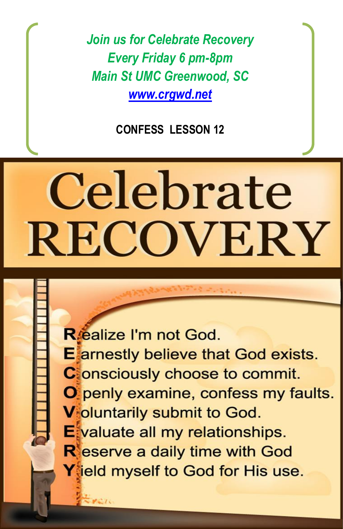*Join us for Celebrate Recovery Every Friday 6 pm-8pm Main St UMC Greenwood, SC [www.crgwd.net](http://www.crgwd.net/)*

**CONFESS LESSON 12**

# Celebrate **RECOVERY**

Réalize I'm not God. **E** arnestly believe that God exists. **C** onsciously choose to commit. O penly examine, confess my faults. **V** oluntarily submit to God. Evaluate all my relationships. **R**eserve a daily time with God  $Y$ ield myself to God for His use.

Participant SS.docx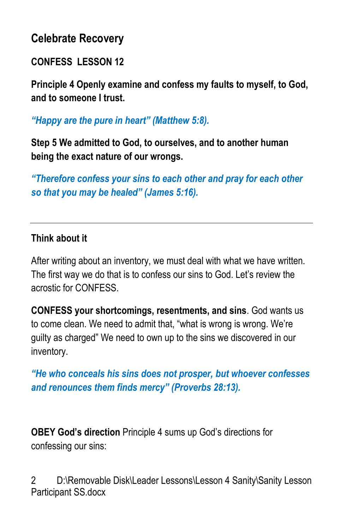# **Celebrate Recovery**

### **CONFESS LESSON 12**

**Principle 4 Openly examine and confess my faults to myself, to God, and to someone I trust.**

*"Happy are the pure in heart" (Matthew 5:8).*

**Step 5 We admitted to God, to ourselves, and to another human being the exact nature of our wrongs.**

*"Therefore confess your sins to each other and pray for each other so that you may be healed" (James 5:16).*

#### **Think about it**

After writing about an inventory, we must deal with what we have written. The first way we do that is to confess our sins to God. Let's review the acrostic for CONFESS.

**CONFESS your shortcomings, resentments, and sins**. God wants us to come clean. We need to admit that, "what is wrong is wrong. We're guilty as charged" We need to own up to the sins we discovered in our inventory.

*"He who conceals his sins does not prosper, but whoever confesses and renounces them finds mercy" (Proverbs 28:13).*

**OBEY God's direction** Principle 4 sums up God's directions for confessing our sins: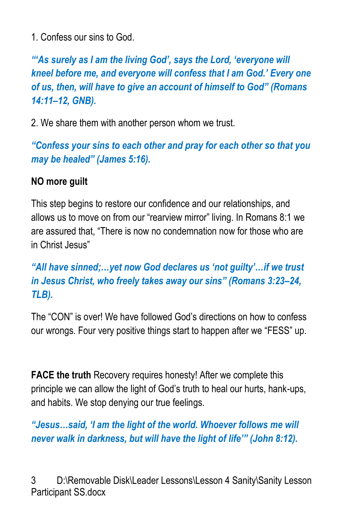1. Confess our sins to God.

*"'As surely as I am the living God', says the Lord, 'everyone will kneel before me, and everyone will confess that I am God.' Every one of us, then, will have to give an account of himself to God" (Romans 14:11–12, GNB).*

2. We share them with another person whom we trust.

*"Confess your sins to each other and pray for each other so that you may be healed" (James 5:16).*

#### **NO more guilt**

This step begins to restore our confidence and our relationships, and allows us to move on from our "rearview mirror" living. In Romans 8:1 we are assured that, "There is now no condemnation now for those who are in Christ Jesus"

*"All have sinned;…yet now God declares us 'not guilty'…if we trust in Jesus Christ, who freely takes away our sins" (Romans 3:23–24, TLB).*

The "CON" is over! We have followed God's directions on how to confess our wrongs. Four very positive things start to happen after we "FESS" up.

**FACE the truth** Recovery requires honesty! After we complete this principle we can allow the light of God's truth to heal our hurts, hank-ups, and habits. We stop denying our true feelings.

*"Jesus…said, 'I am the light of the world. Whoever follows me will never walk in darkness, but will have the light of life'" (John 8:12).*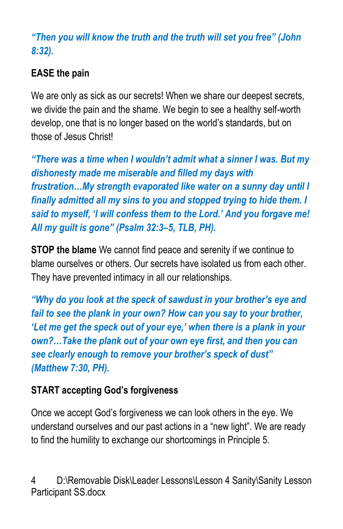*"Then you will know the truth and the truth will set you free" (John 8:32).*

# **EASE the pain**

We are only as sick as our secrets! When we share our deepest secrets, we divide the pain and the shame. We begin to see a healthy self-worth develop, one that is no longer based on the world's standards, but on those of Jesus Christ!

*"There was a time when I wouldn't admit what a sinner I was. But my dishonesty made me miserable and filled my days with frustration…My strength evaporated like water on a sunny day until I finally admitted all my sins to you and stopped trying to hide them. I said to myself, 'I will confess them to the Lord.' And you forgave me! All my guilt is gone" (Psalm 32:3–5, TLB, PH).*

**STOP the blame** We cannot find peace and serenity if we continue to blame ourselves or others. Our secrets have isolated us from each other. They have prevented intimacy in all our relationships.

*"Why do you look at the speck of sawdust in your brother's eye and fail to see the plank in your own? How can you say to your brother, 'Let me get the speck out of your eye,' when there is a plank in your own?…Take the plank out of your own eye first, and then you can see clearly enough to remove your brother's speck of dust" (Matthew 7:30, PH).*

## **START accepting God's forgiveness**

Once we accept God's forgiveness we can look others in the eye. We understand ourselves and our past actions in a "new light". We are ready to find the humility to exchange our shortcomings in Principle 5.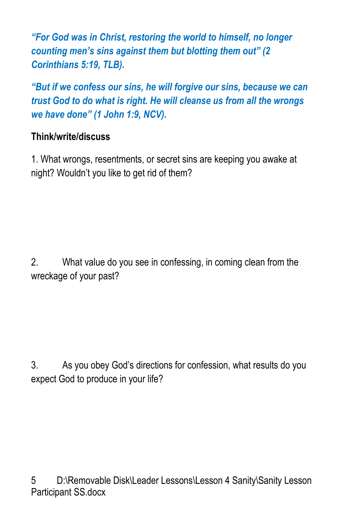*"For God was in Christ, restoring the world to himself, no longer counting men's sins against them but blotting them out" (2 Corinthians 5:19, TLB).*

*"But if we confess our sins, he will forgive our sins, because we can trust God to do what is right. He will cleanse us from all the wrongs we have done" (1 John 1:9, NCV).*

#### **Think/write/discuss**

1. What wrongs, resentments, or secret sins are keeping you awake at night? Wouldn't you like to get rid of them?

2. What value do you see in confessing, in coming clean from the wreckage of your past?

3. As you obey God's directions for confession, what results do you expect God to produce in your life?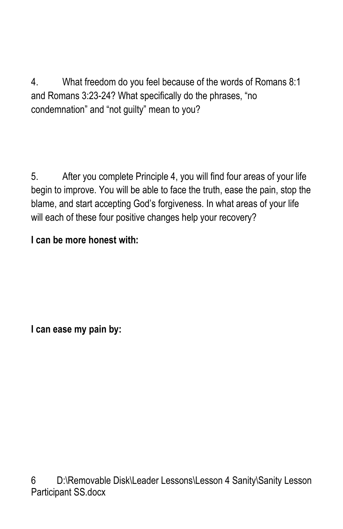4. What freedom do you feel because of the words of Romans 8:1 and Romans 3:23-24? What specifically do the phrases, "no condemnation" and "not guilty" mean to you?

5. After you complete Principle 4, you will find four areas of your life begin to improve. You will be able to face the truth, ease the pain, stop the blame, and start accepting God's forgiveness. In what areas of your life will each of these four positive changes help your recovery?

## **I can be more honest with:**

**I can ease my pain by:**